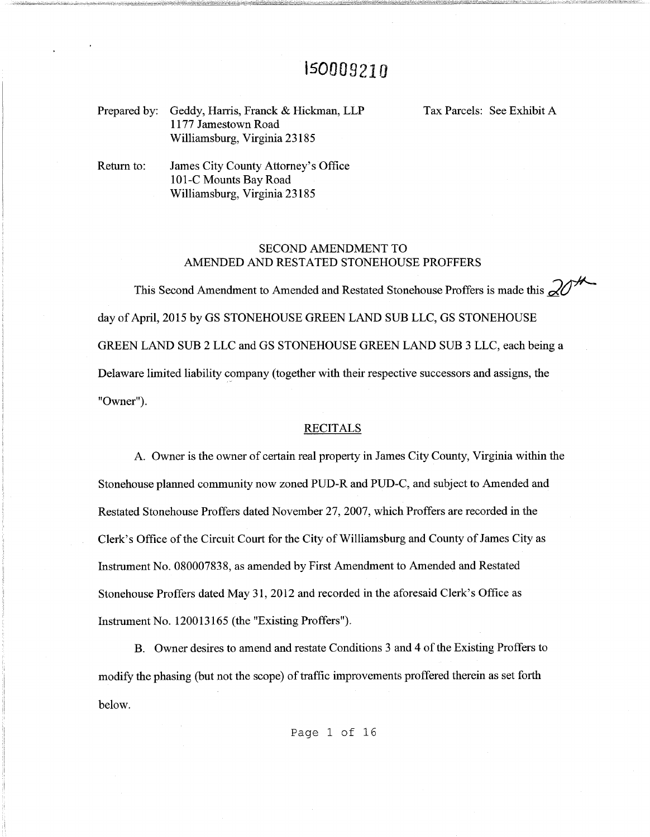# 150009210

Prepared by: Geddy, Harris, Franck & Hickman, LLP 1177 Jamestown Road Williamsburg, Virginia 23185

Tax Parcels: See Exhibit A

Return to: James City County Attorney's Office 101-C Mounts Bay Road Williamsburg, Virginia 23185

## SECOND AMENDMENT TO AMENDED AND RESTATED STONEHOUSE PROFFERS

This Second Amendment to Amended and Restated Stonehouse Proffers is made this  $\mathcal{Q}$ day of April, 2015 by GS STONEHOUSE GREEN LAND SUB LLC, GS STONEHOUSE GREEN LAND SUB 2 LLC and GS STONEHOUSE GREEN LAND SUB 3 LLC, each being a Delaware limited liability company (together with their respective successors and assigns, the "Owner").

### **RECITALS**

A. Owner is the owner of certain real property in James City County, Virginia within the Stonehouse planned community now zoned PUD-R and PUD-C, and subject to Amended and Restated Stonehouse Proffers dated November 27, 2007, which Proffers are recorded in the Clerk's Office of the Circuit Court for the City of Williamsburg and County of James City as Instrument No. 080007838, as amended by First Amendment to Amended and Restated Stonehouse Proffers dated May 31, 2012 and recorded in the aforesaid Clerk's Office as Instrument No. 120013165 (the "Existing Proffers").

B. Owner desires to amend and restate Conditions 3 and 4 of the Existing Proffers to modify the phasing (but not the scope) of traffic improvements proffered therein as set forth below.

Page 1 of 16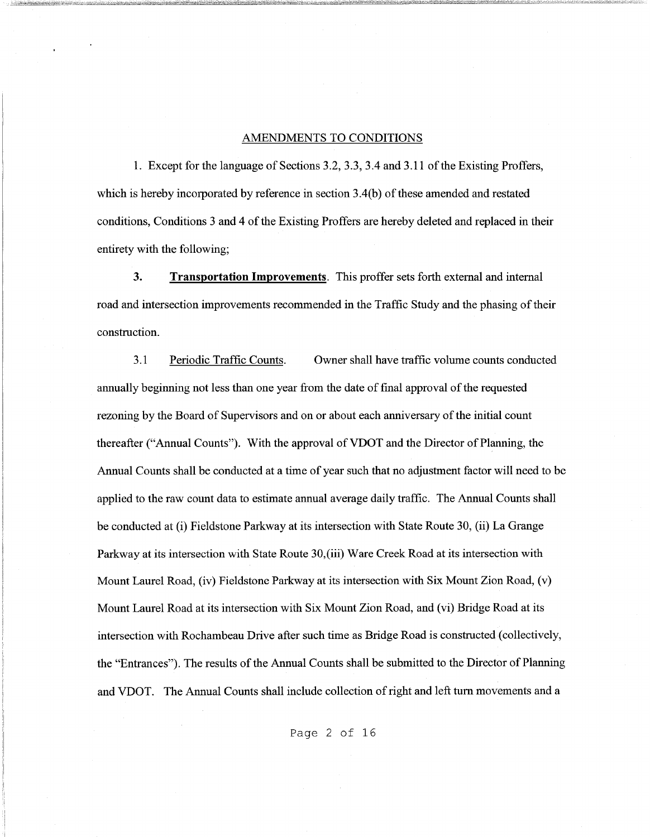### AMENDMENTS TO CONDITIONS

1. Except for the language of Sections 3.2, 3.3, 3.4 and 3.11 of the Existing Proffers, which is hereby incorporated by reference in section 3.4(b) of these amended and restated conditions, Conditions 3 and 4 of the Existing Proffers are hereby deleted and replaced in their entirety with the following;

**3. Transportation Improvements.** This proffer sets forth external and internal road and intersection improvements recommended in the Traffic Study and the phasing of their construction.

3.1 Periodic Traffic Counts. Owner shall have traffic volume counts conducted annually beginning not less than one year from the date of final approval of the requested rezoning by the Board of Supervisors and on or about each anniversary of the initial count thereafter ("Annual Counts"). With the approval of VDOT and the Director of Planning, the Annual Counts shall be conducted at a time of year such that no adjustment factor will need to be applied to the raw count data to estimate annual average daily traffic. The Annual Counts shall be conducted at (i) Fieldstone Parkway at its intersection with State Route 30, (ii) La Grange Parkway at its intersection with State Route 30,(iii) Ware Creek Road at its intersection with Mount Laurel Road, (iv) Fieldstone Parkway at its intersection with Six Mount Zion Road, (v) Mount Laurel Road at its intersection with Six Mount Zion Road, and (vi) Bridge Road at its intersection with Rochambeau Drive after such time as Bridge Road is constructed (collectively, the "Entrances"). The results of the Annual Counts shall be submitted to the Director of Planning and VDOT. The Annual Counts shall include collection of right and left tum movements and a

Page 2 of 16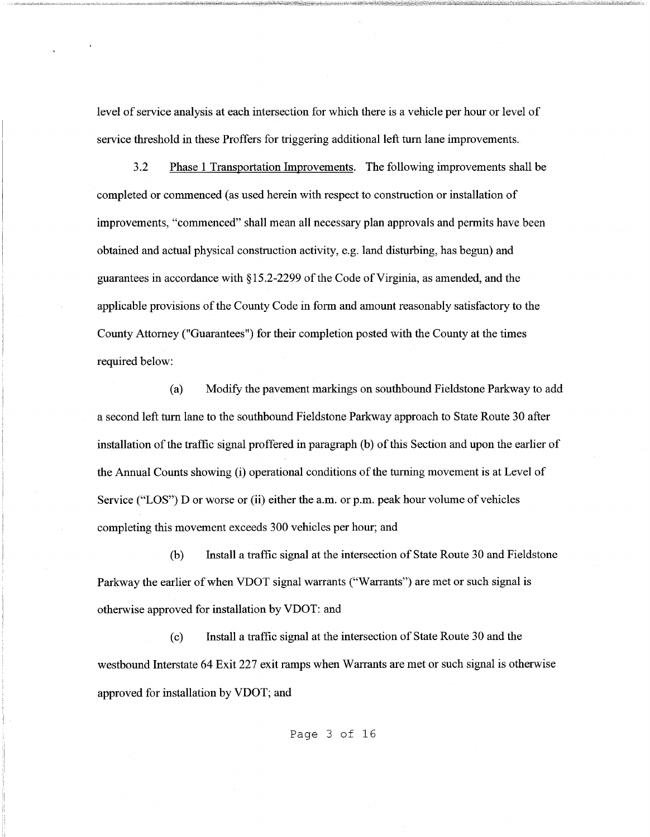level of service analysis at each intersection for which there is a vehicle per hour or level of service threshold in these Proffers for triggering additional left tum lane improvements.

3.2 Phase 1 Transportation Improvements. The following improvements shall be completed or commenced (as used herein with respect to construction or installation of improvements, "commenced" shall mean all necessary plan approvals and permits have been obtained and actual physical construction activity, e.g. land disturbing, has begun) and guarantees in accordance with §15.2-2299 of the Code ofVirginia, as amended, and the applicable provisions of the County Code in form and amount reasonably satisfactory to the County Attorney ("Guarantees") for their completion posted with the County at the times required below:

(a) Modify the pavement markings on southbound Fieldstone Parkway to add a second left tum lane to the southbound Fieldstone Parkway approach to State Route 30 after installation of the traffic signal proffered in paragraph (b) of this Section and upon the earlier of the Annual Counts showing (i) operational conditions of the turning movement is at Level of Service ("LOS") D or worse or (ii) either the a.m. or p.m. peak hour volume of vehicles completing this movement exceeds 300 vehicles per hour; and

(b) Install a traffic signal at the intersection of State Route 30 and Fieldstone Parkway the earlier of when VDOT signal warrants ("Warrants") are met or such signal is otherwise approved for installation by VDOT: and

( c) Install a traffic signal at the intersection of State Route 30 and the westbound Interstate 64 Exit 227 exit ramps when Warrants are met or such signal is otherwise approved for installation by VDOT; and

Page 3 of 16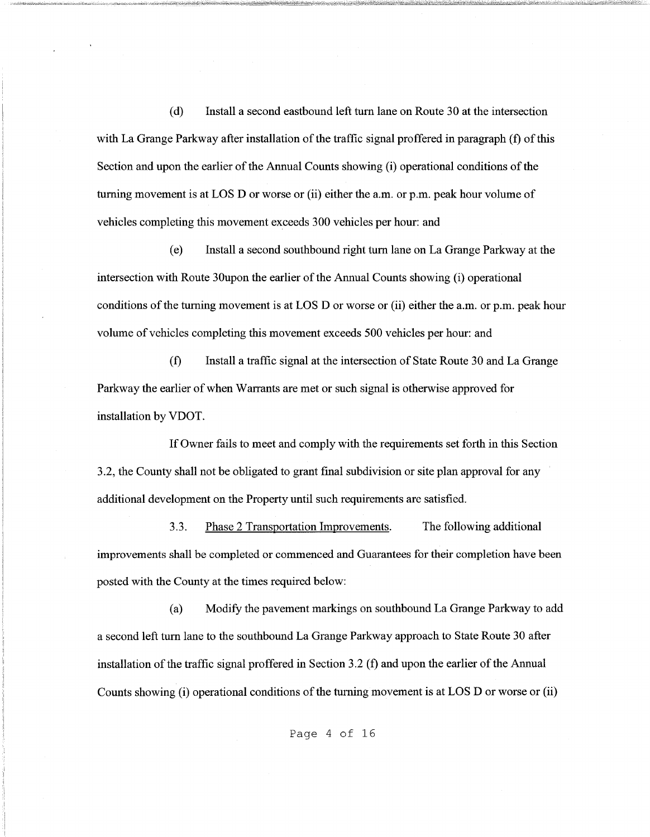( d) Install a second eastbound left tum lane on Route 30 at the intersection with La Grange Parkway after installation of the traffic signal proffered in paragraph (f) of this Section and upon the earlier of the Annual Counts showing (i) operational conditions of the turning movement is at LOS D or worse or (ii) either the a.m. or p.m. peak hour volume of vehicles completing this movement exceeds 300 vehicles per hour: and

( e) Install a second southbound right tum lane on La Grange Parkway at the intersection with Route 30upon the earlier of the Annual Counts showing (i) operational conditions of the turning movement is at LOS D or worse or (ii) either the a.m. or p.m. peak hour volume of vehicles completing this movement exceeds 500 vehicles per hour: and

(f) Install a traffic signal at the intersection of State Route 30 and La Grange Parkway the earlier of when Warrants are met or such signal is otherwise approved for installation by VDOT.

If Owner fails to meet and comply with the requirements set forth in this Section 3.2, the County shall not be obligated to grant final subdivision or site plan approval for any additional development on the Property until such requirements are satisfied.

3.3. Phase 2 Transportation Improvements. The following additional improvements shall be completed or commenced and Guarantees for their completion have been posted with the County at the times required below:

(a) Modify the pavement markings on southbound La Grange Parkway to add a second left turn lane to the southbound La Grange Parkway approach to State Route 30 after installation of the traffic signal proffered in Section 3.2 (f) and upon the earlier of the Annual Counts showing (i) operational conditions of the turning movement is at LOS D or worse or (ii)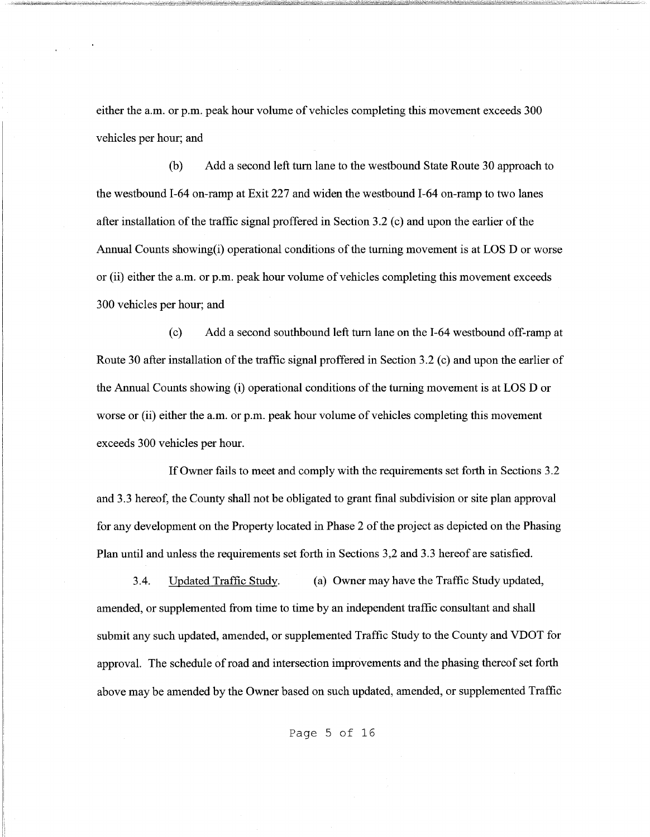either the a.m. or p.m. peak hour volume of vehicles completing this movement exceeds 300 vehicles per hour; and

(b) Add a second left tum lane to the westbound State Route 30 approach to the westbound I-64 on-ramp at Exit 227 and widen the westbound I-64 on-ramp to two lanes after installation of the traffic signal proffered in Section 3.2 (c) and upon the earlier of the Annual Counts showing(i) operational conditions of the turning movement is at LOS D or worse or (ii) either the a.m. or p.m. peak hour volume of vehicles completing this movement exceeds 300 vehicles per hour; and

(c) Add a second southbound left tum lane on the I-64 westbound off-ramp at Route 30 after installation of the traffic signal proffered in Section 3.2 (c) and upon the earlier of the Annual Counts showing (i) operational conditions of the turning movement is at LOS D or worse or (ii) either the a.m. or p.m. peak hour volume of vehicles completing this movement exceeds 300 vehicles per hour.

If Owner fails to meet and comply with the requirements set forth in Sections 3 .2 and 3.3 hereof, the County shall not be obligated to grant final subdivision or site plan approval for any development on the Property located in Phase 2 of the project as depicted on the Phasing Plan until and unless the requirements set forth in Sections 3,2 and 3.3 hereof are satisfied.

3.4. Updated Traffic Study. (a) Owner may have the Traffic Study updated, amended, or supplemented from time to time by an independent traffic consultant and shall submit any such updated, amended, or supplemented Traffic Study to the County and VDOT for approval. The schedule of road and intersection improvements and the phasing thereof set forth above may be amended by the Owner based on such updated, amended, or supplemented Traffic

Page 5 of 16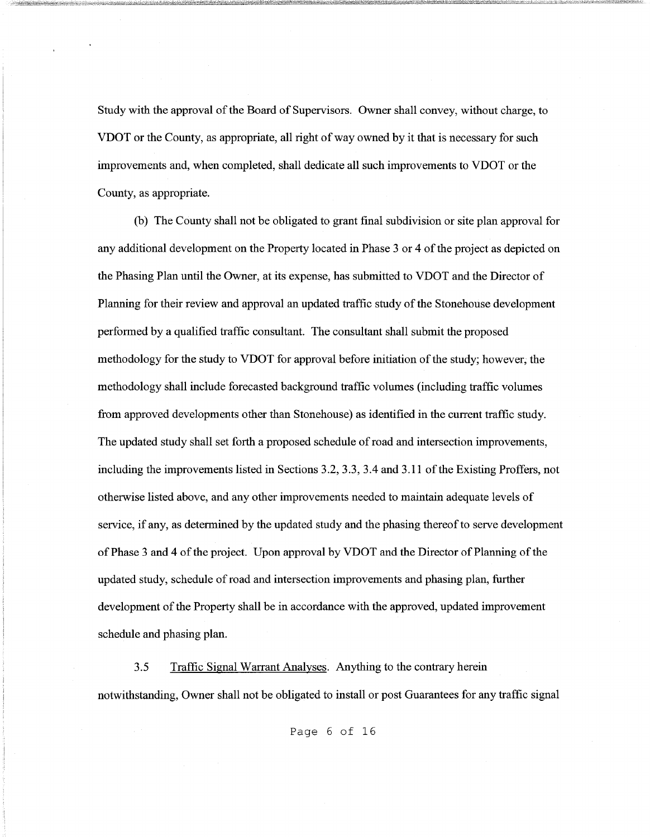Study with the approval of the Board of Supervisors. Owner shall convey, without charge, to VDOT or the County, as appropriate, all right of way owned by it that is necessary for such improvements and, when completed, shall dedicate all such improvements to VDOT or the County, as appropriate.

(b) The County shall not be obligated to grant final subdivision or site plan approval for any additional development on the Property located in Phase 3 or 4 of the project as depicted on the Phasing Plan until the Owner, at its expense, has submitted to VDOT and the Director of Planning for their review and approval an updated traffic study of the Stonehouse development performed by a qualified traffic consultant. The consultant shall submit the proposed methodology for the study to VDOT for approval before initiation of the study; however, the methodology shall include forecasted background traffic volumes (including traffic volumes from approved developments other than Stonehouse) as identified in the current traffic study. The updated study shall set forth a proposed schedule of road and intersection improvements, including the improvements listed in Sections 3.2, 3.3, 3.4 and 3.11 of the Existing Proffers, not otherwise listed above, and any other improvements needed to maintain adequate levels of service, if any, as determined by the updated study and the phasing thereof to serve development of Phase 3 and 4 of the project. Upon approval by VDOT and the Director of Planning of the updated study, schedule of road and intersection improvements and phasing plan, further development of the Property shall be in accordance with the approved, updated improvement schedule and phasing plan.

3.5 Traffic Signal Warrant Analyses. Anything to the contrary herein notwithstanding, Owner shall not be obligated to install or post Guarantees for any traffic signal

Page 6 of 16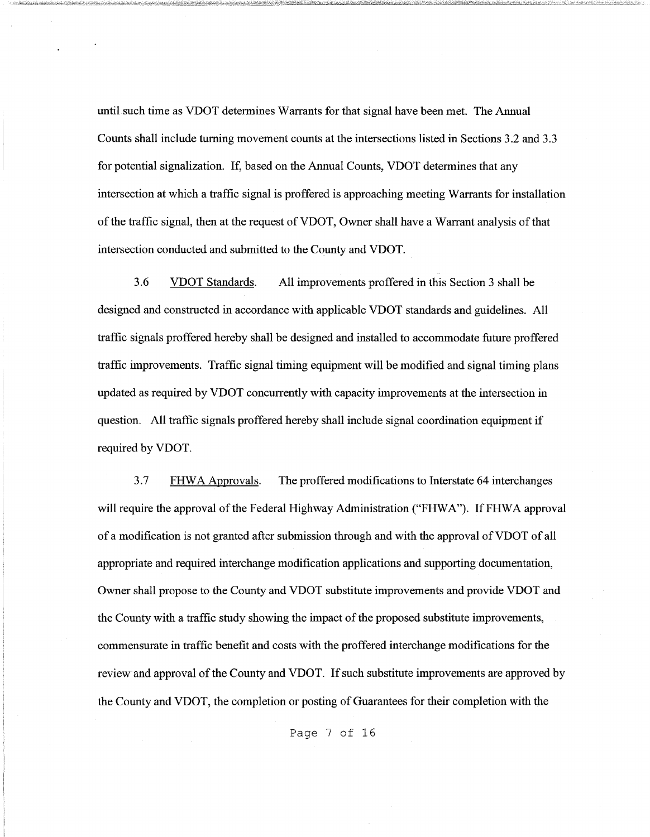until such time as VDOT determines Warrants for that signal have been met. The Annual Counts shall include turning movement counts at the intersections listed in Sections 3.2 and 3.3 for potential signalization. If, based on the Annual Counts, VDOT determines that any intersection at which a traffic signal is proffered is approaching meeting Warrants for installation of the traffic signal, then at the request ofVDOT, Owner shall have a Warrant analysis of that intersection conducted and submitted to the County and VDOT.

3.6 VDOT Standards. All improvements proffered in this Section 3 shall be designed and constructed in accordance with applicable VDOT standards and guidelines. All traffic signals proffered hereby shall be designed and installed to accommodate future proffered traffic improvements. Traffic signal timing equipment will be modified and signal timing plans updated as required by VDOT concurrently with capacity improvements at the intersection in question. All traffic signals proffered hereby shall include signal coordination equipment if required by VDOT.

3. 7 FHW A Approvals. The proffered modifications to Interstate 64 interchanges will require the approval of the Federal Highway Administration ("FHWA"). If FHWA approval of a modification is not granted after submission through and with the approval of VDOT of all appropriate and required interchange modification applications and supporting documentation, Owner shall propose to the County and VDOT substitute improvements and provide VDOT and the County with a traffic study showing the impact of the proposed substitute improvements, commensurate in traffic benefit and costs with the proffered interchange modifications for the review and approval of the County and VDOT. If such substitute improvements are approved by the County and VDOT, the completion or posting of Guarantees for their completion with the

Page 7 of 16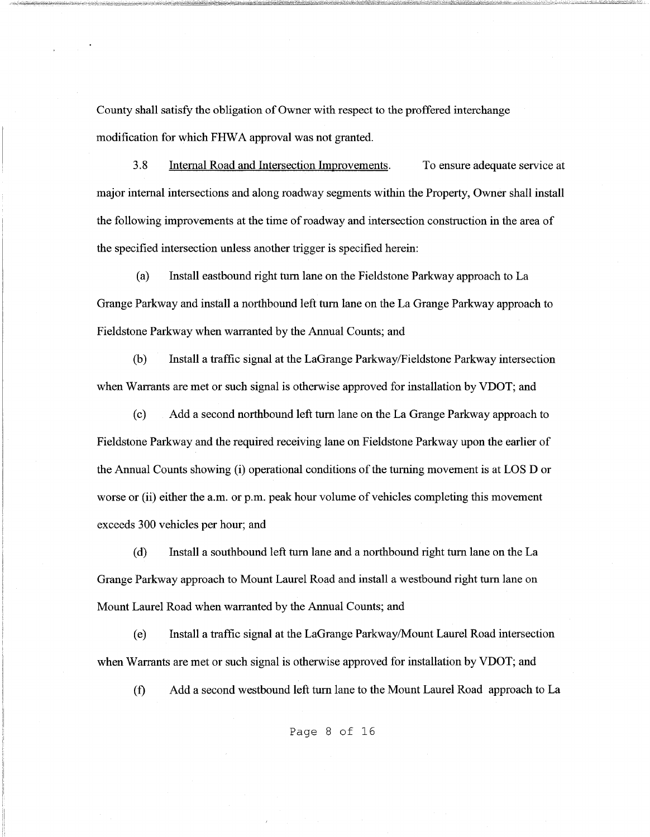County shall satisfy the obligation of Owner with respect to the proffered interchange modification for which FHWA approval was not granted.

3.8 Internal Road and Intersection Improvements. To ensure adequate service at major internal intersections and along roadway segments within the Property, Owner shall install the following improvements at the time of roadway and intersection construction in the area of the specified intersection unless another trigger is specified herein:

(a) Install eastbound right tum lane on the Fieldstone Parkway approach to La Grange Parkway and install a northbound left tum lane on the La Grange Parkway approach to Fieldstone Parkway when warranted by the Annual Counts; and

(b) Install a traffic signal at the LaGrange Parkway/Fieldstone Parkway intersection when Warrants are met or such signal is otherwise approved for installation by VDOT; and

( c) Add a second northbound left tum lane on the La Grange Parkway approach to Fieldstone Parkway and the required receiving lane on Fieldstone Parkway upon the earlier of the Annual Counts showing (i) operational conditions of the turning movement is at LOS D or worse or (ii) either the a.m. or p.m. peak hour volume of vehicles completing this movement exceeds 300 vehicles per hour; and

( d) Install a southbound left tum lane and a northbound right tum lane on the La Grange Parkway approach to Mount Laurel Road and install a westbound right tum lane on Mount Laurel Road when warranted by the Annual Counts; and

( e) Install a traffic signal at the LaGrange Parkway/Mount Laurel Road intersection when Warrants are met or such signal is otherwise approved for installation by VDOT; and

(f) Add a second westbound left tum lane to the Mount Laurel Road approach to La

Page 8 of 16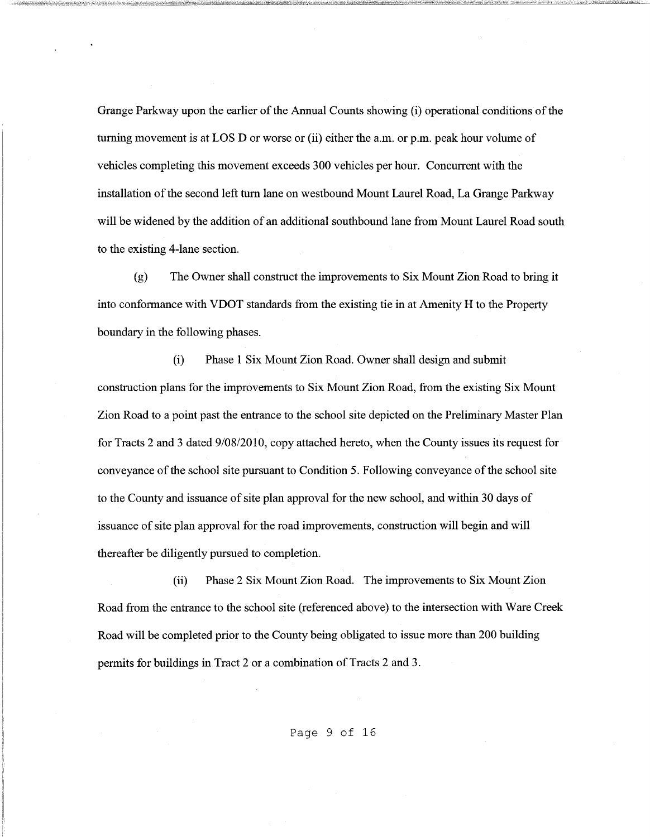Grange Parkway upon the earlier of the Annual Counts showing (i) operational conditions of the turning movement is at LOS D or worse or (ii) either the a.m. or p.m. peak hour volume of vehicles completing this movement exceeds 300 vehicles per hour. Concurrent with the installation of the second left tum lane on westbound Mount Laurel Road, La Grange Parkway will be widened by the addition of an additional southbound lane from Mount Laurel Road south to the existing 4-lane section.

(g) The Owner shall construct the improvements to Six Mount Zion Road to bring it into conformance with VDOT standards from the existing tie in at Amenity H to the Property boundary in the following phases.

(i) Phase 1 Six Mount Zion Road. Owner shall design and submit construction plans for the improvements to Six Mount Zion Road, from the existing Six Mount Zion Road to a point past the entrance to the school site depicted on the Preliminary Master Plan for Tracts 2 and 3 dated 9/08/2010, copy attached hereto, when the County issues its request for conveyance of the school site pursuant to Condition 5. Following conveyance of the school site to the County and issuance of site plan approval for the new school, and within 30 days of issuance of site plan approval for the road improvements, construction will begin and will thereafter be diligently pursued to completion.

(ii) Phase 2 Six Mount Zion Road. The improvements to Six Mount Zion Road from the entrance to the school site (referenced above) to the intersection with Ware Creek Road will be completed prior to the County being obligated to issue more than 200 building permits for buildings in Tract 2 or a combination of Tracts 2 and 3.

Page 9 of 16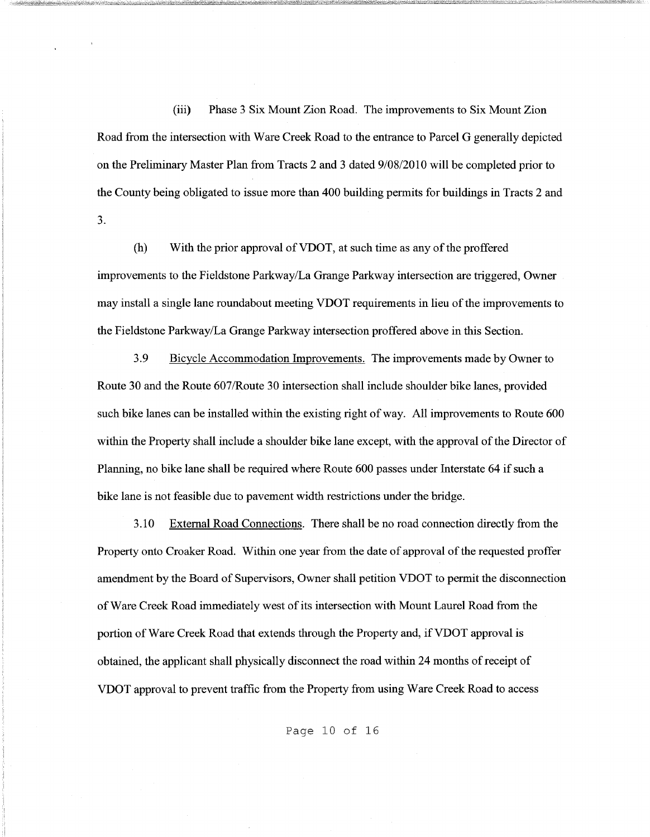(iii) Phase 3 Six Mount Zion Road. The improvements to Six Mount Zion Road from the intersection with Ware Creek Road to the entrance to Parcel G generally depicted on the Preliminary Master Plan from Tracts 2 and 3 dated 9/08/2010 will be completed prior to the County being obligated to issue more than 400 building permits for buildings in Tracts 2 and 3.

(h) With the prior approval of VDOT, at such time as any of the proffered improvements to the Fieldstone Parkway/La Grange Parkway intersection are triggered, Owner may install a single lane roundabout meeting VDOT requirements in lieu of the improvements to the Fieldstone Parkway/La Grange Parkway intersection proffered above in this Section.

3.9 Bicycle Accommodation Improvements. The improvements made by Owner to Route 30 and the Route 607/Route 30 intersection shall include shoulder bike lanes, provided such bike lanes can be installed within the existing right of way. All improvements to Route 600 within the Property shall include a shoulder bike lane except, with the approval of the Director of Planning, no bike lane shall be required where Route 600 passes under Interstate 64 if such a bike lane is not feasible due to pavement width restrictions under the bridge.

3.10 External Road Connections. There shall be no road connection directly from the Property onto Croaker Road. Within one year from the date of approval of the requested proffer amendment by the Board of Supervisors, Owner shall petition VDOT to permit the disconnection of Ware Creek Road immediately west of its intersection with Mount Laurel Road from the portion of Ware Creek Road that extends through the Property and, if VDOT approval is obtained, the applicant shall physically disconnect the road within 24 months of receipt of VDOT approval to prevent traffic from the Property from using Ware Creek Road to access

Page 10 of 16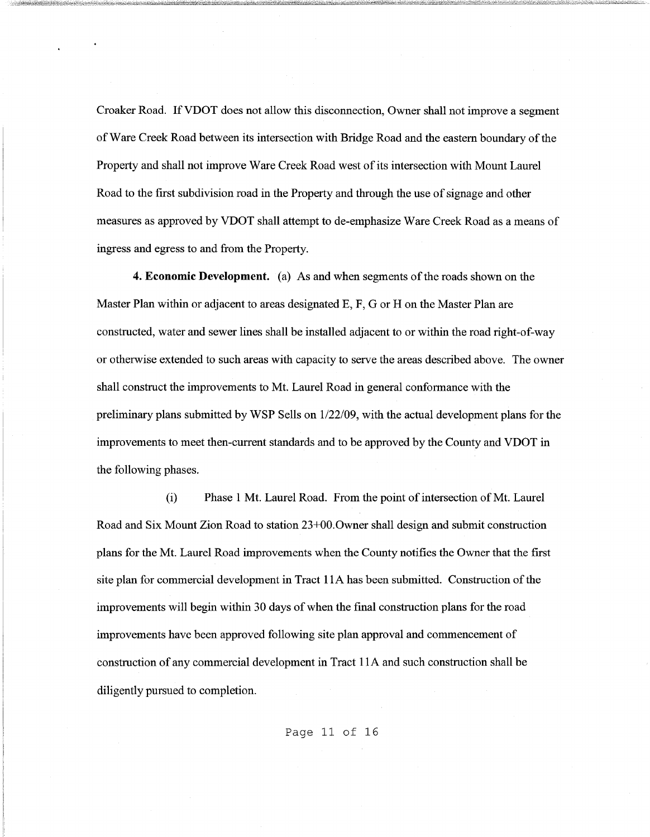Croaker Road. IfVDOT does not allow this disconnection, Owner shall not improve a segment of Ware Creek Road between its intersection with Bridge Road and the eastern boundary of the Property and shall not improve Ware Creek Road west of its intersection with Mount Laurel Road to the first subdivision road in the Property and through the use of signage and other measures as approved by VDOT shall attempt to de-emphasize Ware Creek Road as a means of ingress and egress to and from the Property.

**4. Economic Development.** (a) As and when segments of the roads shown on the Master Plan within or adjacent to areas designated E, F, G or H on the Master Plan are constructed, water and sewer lines shall be installed adjacent to or within the road right-of-way or otherwise extended to such areas with capacity to serve the areas described above. The owner shall construct the improvements to Mt. Laurel Road in general conformance with the preliminary plans submitted by WSP Sells on 1122/09, with the actual development plans for the improvements to meet then-current standards and to be approved by the County and VDOT in the following phases.

(i) Phase 1 Mt. Laurel Road. From the point of intersection of Mt. Laurel Road and Six Mount Zion Road to station 23+00.0wner shall design and submit construction plans for the Mt. Laurel Road improvements when the County notifies the Owner that the first site plan for commercial development in Tract 1 lA has been submitted. Construction of the improvements will begin within 30 days of when the final construction plans for the road improvements have been approved following site plan approval and commencement of construction of any commercial development in Tract **1** lA and such construction shall be diligently pursued to completion.

Page 11 of 16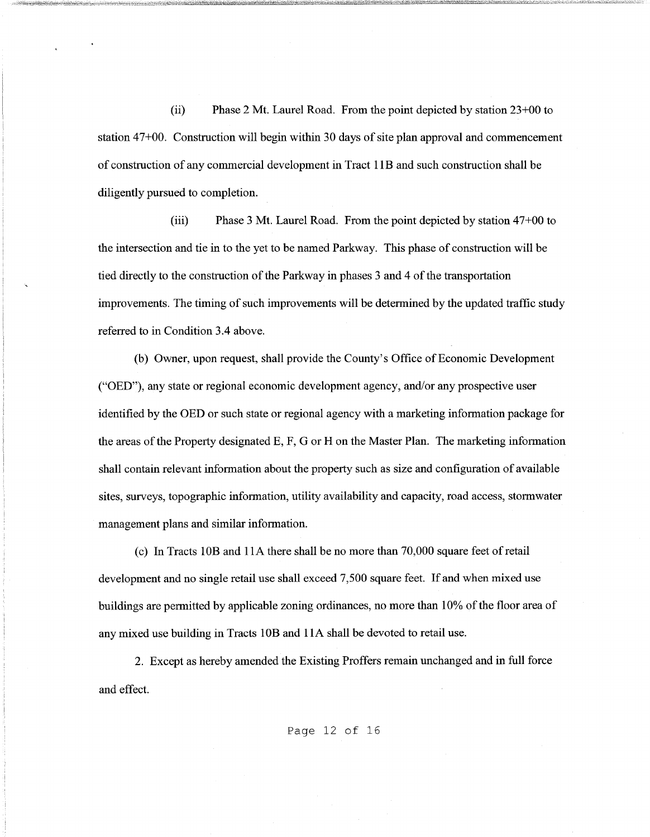(ii) Phase 2 Mt. Laurel Road. From the point depicted by station 23+00 to station 47+00. Construction will begin within 30 days of site plan approval and commencement of construction of any commercial development in Tract 1 lB and such construction shall be diligently pursued to completion.

(iii) Phase 3 Mt. Laurel Road. From the point depicted by station 47+00 to the intersection and tie in to the yet to be named Parkway. This phase of construction will be tied directly to the construction of the Parkway in phases 3 and 4 of the transportation improvements. The timing of such improvements will be determined by the updated traffic study referred to in Condition 3.4 above.

(b) Owner, upon request, shall provide the County's Office of Economic Development ("OED"), any state or regional economic development agency, and/or any prospective user identified by the OED or such state or regional agency with a marketing information package for the areas of the Property designated E, F, G or Hon the Master Plan. The marketing information shall contain relevant information about the property such as size and configuration of available sites, surveys, topographic information, utility availability and capacity, road access, stormwater management plans and similar information.

(c) In Tracts lOB and llA there shall be no more than 70,000 square feet ofretail development and no single retail use shall exceed 7,500 square feet. If and when mixed use buildings are permitted by applicable zoning ordinances, no more than 10% of the floor area of any mixed use building in Tracts lOB and 1 lA shall be devoted to retail use.

2. Except as hereby amended the Existing Proffers remain unchanged and in full force and effect.

Page 12 of 16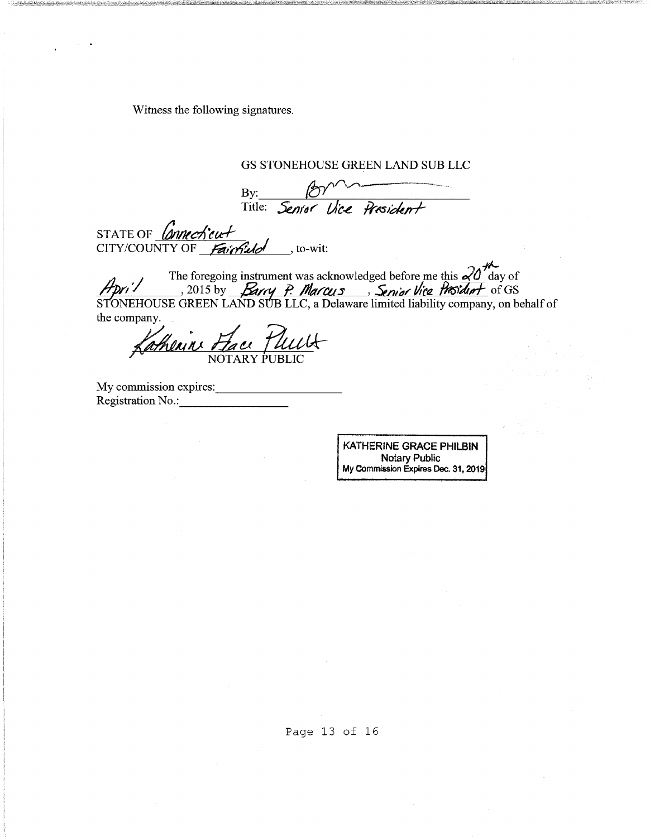Witness the following signatures.

By: By: 10 STATE OF *Connecticut* CITY/COUNTY OF  $\frac{fairfluid}{\sqrt{c}}$ , to-wit: *-t"-* The foregoing instrument was acknowledged before me this  $\frac{d}{dx}$  day of Hpri<sup>1</sup> , 2015 by *Barry P. Marcus*, Senior Vice Prosident of GS STONEHOUSE GREEN LAND SUB LLC, a Delaware limited liability company, on behalf of the company. Andrine Fac Katherin Face Puult

GS STONEHOUSE GREEN LAND SUB LLC

My commission expires: \_\_\_\_\_\_\_\_ \_ Registration No.: -------

KATHERINE GRACE PHILBIN Notary Public My Commission Expires Dec. 31, 2019

Page 13 of 16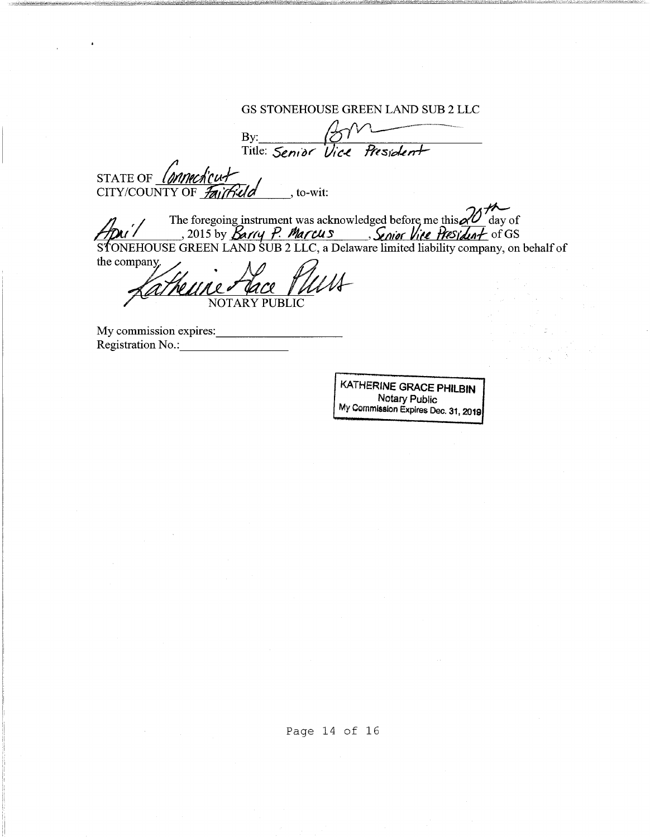GS STONEHOUSE GREEN LAND SUB 2 LLC By: \_\_\_\_ +-'{bfl~\_Vl\_~ \_\_ -\_-\_---\_--\_··-·\_-\_---\_ .. - Title: Senior Vice President STATE OF Connecticut CITY/COUNTY OF  $\mathcal{F}_{\mathcal{A}}$   $\mathcal{F}_{\mathcal{A}}$   $\mathcal{F}_{\mathcal{A}}$   $\mathcal{F}_{\mathcal{A}}$   $\mathcal{F}_{\mathcal{A}}$  , to-wit: The foregoing instrument was acknowledged before me this 20<sup>1</sup> day of<br>2015 by *Barry P. Marcus*, Senior Vice President of GS STONEHOUSE GREEN LAND SUB 2 LLC, a Delaware limited liability company, on behalf of the company. ~NOTARY PUBLIC My commission expires: \_\_\_\_\_\_\_\_ \_ Registration No.: -------

KATHERINE GRACE PHILBIN Notary Public My Commission Expires Dec. 31, 2019

Page 14 of 16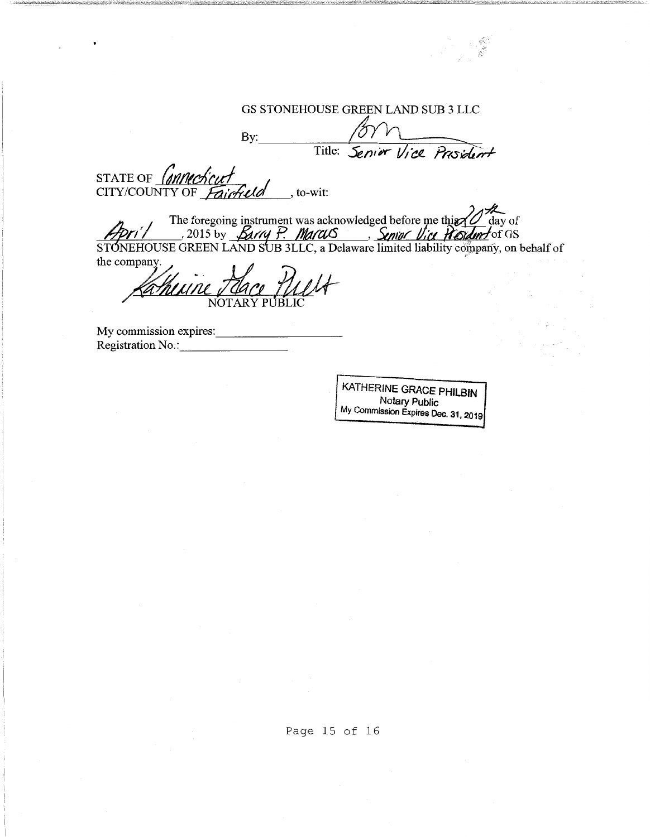# GS STONEHOUSE GREEN LAND SUB 3 LLC

*\_\_ .:;* 

 $By:$  form Title: *Senier Vice Prosident* STATE OF Connecticut The foregoing instrument was acknowledged before me this 10 day of<br> *y/ /* , 2015 by *Barry P. MarcuS*, *Smor Vice Rodun* for GS STONEHOUSE GREEN LAND SUB 3LLC, a Delaware limited liability company, on behalf of<br>the company.<br>*Ka huune 7 da ce 1 Juul*t

My commission expires: Registration No.:

J

KATHERINE GRACE PHILBIN Notary Public My Commission Expires Dec. 31, 2019

Page 15 of 16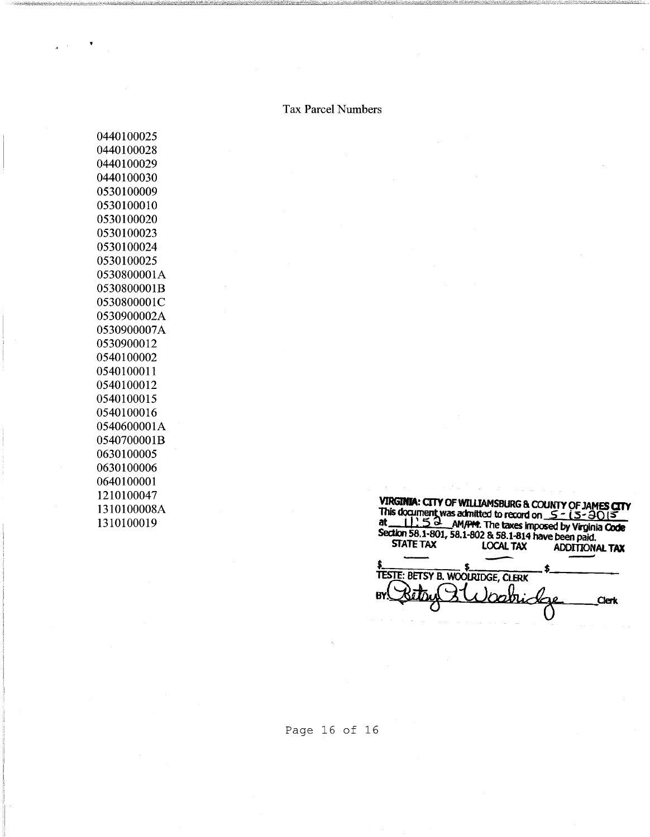Tax Parcel Numbers

|                                                         |                  | VIRGINIA: CITY OF WILLIAMSBURG & COUNTY OF JAMES CITY |
|---------------------------------------------------------|------------------|-------------------------------------------------------|
| This document was admitted to record on $5 - 15 - 3015$ |                  |                                                       |
|                                                         |                  | 5.3 AM/PM. The taxes imposed by Virginia Code         |
| Section 58.1-801, 58.1-802 & 58.1-814 have been paid.   |                  |                                                       |
| <b>STATE TAX</b>                                        | <b>LOCAL TAX</b> | <b>ADDITIONAL TAX</b>                                 |
|                                                         |                  |                                                       |
| TESTE: BETSY B. WOOLRIDGE, CLERK                        |                  |                                                       |
|                                                         |                  |                                                       |
|                                                         |                  | <b>Clerk</b>                                          |
|                                                         |                  |                                                       |
|                                                         |                  |                                                       |

Page 16 of 16